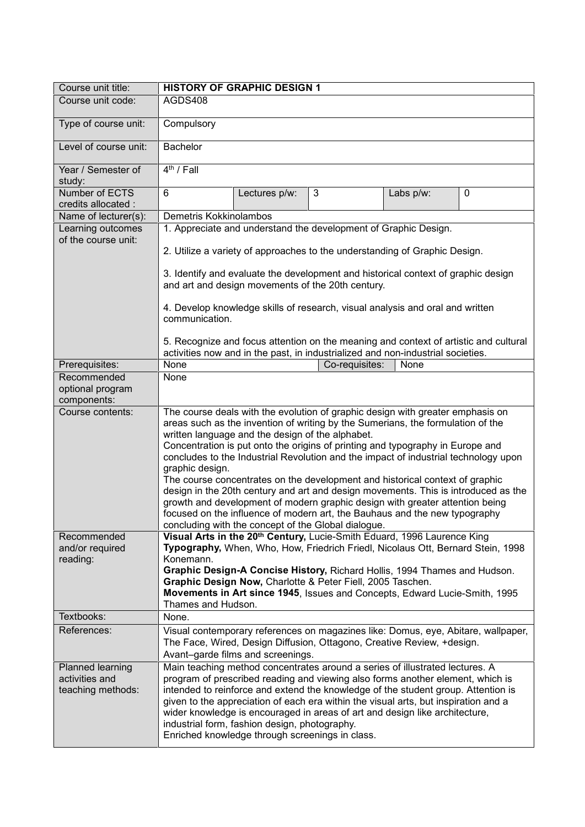| Course unit title:                                      |                                                                                                                                                                                                                                                                                                                                                                                                                                                                                                                               | <b>HISTORY OF GRAPHIC DESIGN 1</b>                                                                                                                                                                                                                                                                                                                                                                                                                                                                                                                                                                                                                                                                                                                                                        |                                                                               |           |             |  |
|---------------------------------------------------------|-------------------------------------------------------------------------------------------------------------------------------------------------------------------------------------------------------------------------------------------------------------------------------------------------------------------------------------------------------------------------------------------------------------------------------------------------------------------------------------------------------------------------------|-------------------------------------------------------------------------------------------------------------------------------------------------------------------------------------------------------------------------------------------------------------------------------------------------------------------------------------------------------------------------------------------------------------------------------------------------------------------------------------------------------------------------------------------------------------------------------------------------------------------------------------------------------------------------------------------------------------------------------------------------------------------------------------------|-------------------------------------------------------------------------------|-----------|-------------|--|
| Course unit code:                                       | AGDS408                                                                                                                                                                                                                                                                                                                                                                                                                                                                                                                       |                                                                                                                                                                                                                                                                                                                                                                                                                                                                                                                                                                                                                                                                                                                                                                                           |                                                                               |           |             |  |
| Type of course unit:                                    | Compulsory                                                                                                                                                                                                                                                                                                                                                                                                                                                                                                                    |                                                                                                                                                                                                                                                                                                                                                                                                                                                                                                                                                                                                                                                                                                                                                                                           |                                                                               |           |             |  |
| Level of course unit:                                   | <b>Bachelor</b>                                                                                                                                                                                                                                                                                                                                                                                                                                                                                                               |                                                                                                                                                                                                                                                                                                                                                                                                                                                                                                                                                                                                                                                                                                                                                                                           |                                                                               |           |             |  |
| Year / Semester of<br>study:                            | $4th$ / Fall                                                                                                                                                                                                                                                                                                                                                                                                                                                                                                                  |                                                                                                                                                                                                                                                                                                                                                                                                                                                                                                                                                                                                                                                                                                                                                                                           |                                                                               |           |             |  |
| Number of ECTS<br>credits allocated :                   | 6                                                                                                                                                                                                                                                                                                                                                                                                                                                                                                                             | Lectures p/w:                                                                                                                                                                                                                                                                                                                                                                                                                                                                                                                                                                                                                                                                                                                                                                             | 3                                                                             | Labs p/w: | $\mathbf 0$ |  |
| Name of lecturer(s):                                    | Demetris Kokkinolambos                                                                                                                                                                                                                                                                                                                                                                                                                                                                                                        |                                                                                                                                                                                                                                                                                                                                                                                                                                                                                                                                                                                                                                                                                                                                                                                           |                                                                               |           |             |  |
| Learning outcomes                                       | 1. Appreciate and understand the development of Graphic Design.                                                                                                                                                                                                                                                                                                                                                                                                                                                               |                                                                                                                                                                                                                                                                                                                                                                                                                                                                                                                                                                                                                                                                                                                                                                                           |                                                                               |           |             |  |
| of the course unit:                                     |                                                                                                                                                                                                                                                                                                                                                                                                                                                                                                                               | 2. Utilize a variety of approaches to the understanding of Graphic Design.<br>3. Identify and evaluate the development and historical context of graphic design                                                                                                                                                                                                                                                                                                                                                                                                                                                                                                                                                                                                                           |                                                                               |           |             |  |
|                                                         |                                                                                                                                                                                                                                                                                                                                                                                                                                                                                                                               | and art and design movements of the 20th century.                                                                                                                                                                                                                                                                                                                                                                                                                                                                                                                                                                                                                                                                                                                                         |                                                                               |           |             |  |
|                                                         | communication.                                                                                                                                                                                                                                                                                                                                                                                                                                                                                                                |                                                                                                                                                                                                                                                                                                                                                                                                                                                                                                                                                                                                                                                                                                                                                                                           | 4. Develop knowledge skills of research, visual analysis and oral and written |           |             |  |
|                                                         | 5. Recognize and focus attention on the meaning and context of artistic and cultural<br>activities now and in the past, in industrialized and non-industrial societies.                                                                                                                                                                                                                                                                                                                                                       |                                                                                                                                                                                                                                                                                                                                                                                                                                                                                                                                                                                                                                                                                                                                                                                           |                                                                               |           |             |  |
| Prerequisites:                                          | None                                                                                                                                                                                                                                                                                                                                                                                                                                                                                                                          |                                                                                                                                                                                                                                                                                                                                                                                                                                                                                                                                                                                                                                                                                                                                                                                           | Co-requisites:                                                                | None      |             |  |
| Recommended<br>optional program<br>components:          | None                                                                                                                                                                                                                                                                                                                                                                                                                                                                                                                          |                                                                                                                                                                                                                                                                                                                                                                                                                                                                                                                                                                                                                                                                                                                                                                                           |                                                                               |           |             |  |
| Course contents:                                        | graphic design.                                                                                                                                                                                                                                                                                                                                                                                                                                                                                                               | The course deals with the evolution of graphic design with greater emphasis on<br>areas such as the invention of writing by the Sumerians, the formulation of the<br>written language and the design of the alphabet.<br>Concentration is put onto the origins of printing and typography in Europe and<br>concludes to the Industrial Revolution and the impact of industrial technology upon<br>The course concentrates on the development and historical context of graphic<br>design in the 20th century and art and design movements. This is introduced as the<br>growth and development of modern graphic design with greater attention being<br>focused on the influence of modern art, the Bauhaus and the new typography<br>concluding with the concept of the Global dialogue. |                                                                               |           |             |  |
| Recommended<br>and/or required<br>reading:              | Konemann.                                                                                                                                                                                                                                                                                                                                                                                                                                                                                                                     | Visual Arts in the 20 <sup>th</sup> Century, Lucie-Smith Eduard, 1996 Laurence King<br>Typography, When, Who, How, Friedrich Friedl, Nicolaus Ott, Bernard Stein, 1998<br>Graphic Design-A Concise History, Richard Hollis, 1994 Thames and Hudson.<br>Graphic Design Now, Charlotte & Peter Fiell, 2005 Taschen.<br>Movements in Art since 1945, Issues and Concepts, Edward Lucie-Smith, 1995<br>Thames and Hudson.                                                                                                                                                                                                                                                                                                                                                                     |                                                                               |           |             |  |
| Textbooks:                                              | None.                                                                                                                                                                                                                                                                                                                                                                                                                                                                                                                         |                                                                                                                                                                                                                                                                                                                                                                                                                                                                                                                                                                                                                                                                                                                                                                                           |                                                                               |           |             |  |
| References:                                             | Visual contemporary references on magazines like: Domus, eye, Abitare, wallpaper,<br>The Face, Wired, Design Diffusion, Ottagono, Creative Review, +design.<br>Avant-garde films and screenings.                                                                                                                                                                                                                                                                                                                              |                                                                                                                                                                                                                                                                                                                                                                                                                                                                                                                                                                                                                                                                                                                                                                                           |                                                                               |           |             |  |
| Planned learning<br>activities and<br>teaching methods: | Main teaching method concentrates around a series of illustrated lectures. A<br>program of prescribed reading and viewing also forms another element, which is<br>intended to reinforce and extend the knowledge of the student group. Attention is<br>given to the appreciation of each era within the visual arts, but inspiration and a<br>wider knowledge is encouraged in areas of art and design like architecture,<br>industrial form, fashion design, photography.<br>Enriched knowledge through screenings in class. |                                                                                                                                                                                                                                                                                                                                                                                                                                                                                                                                                                                                                                                                                                                                                                                           |                                                                               |           |             |  |